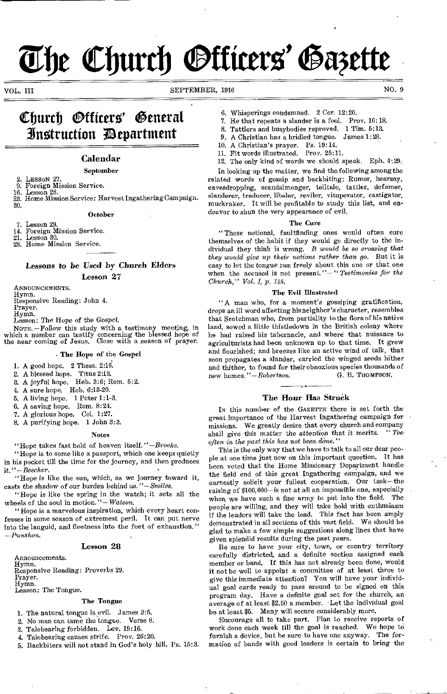# The Church *Officers' Gazette*

VOL. III SEPTEMBER, 1916 NO. 9

# Church Officers' General ifraitruttion /Department

#### Calendar

#### September

- 2. LESSON 27.<br>9. Foreign Mi
- 9. Foreign Mission Service.<br>16. Lesson 28. Lesson 28.
- 23. Home Mission Service: Harvest Ingathering Campaign. 30.

#### October

7. Lesson 29.

14. Foreign Mission Service. 21. Lesson 30.

28. Home Mission Service.

Lessons to be Used by Church Elders Lesson 27

ANNOUNCEMENTS.

Hymn.

Responsive Reading: John 4.

Prayer. Hymn.

*Lesson:* The Hope of the Gospel.

NOTE. -Follow this study with a testimony meeting, in which a number can testify concerning the blessed hope of the near coming of Jesus. Close with a season of prayer.

#### The Hope of the Gospel

- 1. A good hope. 2 Thess. 2:16.
- 2. A blessed hope. Titus 2:13.
- 3. A joyful hope. Heb. 3:6; Rom. 5:2.
- 4. A sure hope. Heb. 6:13-20.
- 5. A living hope. 1 Peter 1:1-3.
- 6. A saving hope. Rom. 8:24.
- 7. A glorious hope. Col. 1:27.
- 8. A purifying hope. 1 John 3:3.

#### Notes

"Hope takes fast hold of heaven itself.*"-Brooks.* 

"Hope is to some like a passport, which one keeps quietly in his pocket till the time for the journey, and then produces it. *"-Beecher.* 

"Hope is like the sun, which, as we journey toward it, casts the shadow *of* our burden behind us. *"-Smiles.* 

"Hope is like the spring in the watch; it sets all the wheels of the soul in motion."-Watson.

"Hope is a marvelous inspiration, which every heart confesses in some season of extremest peril. It can put nerve into the languid, and fleetness into the feet of exhaustion." *-Punshon.* 

#### Lesson 28

Announcements.<br>Hymn.

Hymn. Responsive Reading: Proverbs 29.

Prayer.

Hymn.

Lesson: The Tongue.

#### The Tongue

1. The natural tongue is evil. James 3:6.

- 2. No man can tame the tongue. Verse 8.
- 3. Talebearing forbidden. Lev. 19:16.
- 4. Talebearing causes strife. Prov. 26:20.
- 5. Backbiters will not stand in God's holy hill. Ps. 15:3.
- 6. Whisperings condemned. 2 Cor. 12:20.
- 7. He that repeats a slander is a fool. Prov. 10:18.
- 8. Tattlers and busybodies reproved. 1 Tim. 5:13.
- 9. A Christian has a bridled tongue. James 1:26.
- 10, A Christian's prayer. Ps. 19:14.
- 11. Fit words illustrated. Prov. 25:11.

12, The only kind of words we should speak. Eph. 4:29. In looking up the matter, we find the following among the

related words of gossip and backbiting: Rumor, hearsay, eavesdropping, scandalmonger, telltale, tattler, defamer, slanderer, traducer, libeler, reviler, vituperator, castigator, muckraker. It will be profitable to study this list, and endeavor to *shun* the very appearance *of* evil.

#### The Cure

"These notional, faultfinding ones would often cure themselves of the habit if they would go directly to the individual they think is wrong. *It would be so crossing that they would give up their notions rather than go.* But it is easy to let the tongue run freely about this one or that one when the accused is not present."-" Testimonies for the *Church," Vol. I, p. 145.* 

#### The Evil Illustrated

"A man who, for a moment's gossiping gratification, drops an ill word affecting his neighbor's character, resembles that Scotchman who, from partiality to the flora of his native land, sowed a little thistledown in the British colony where he had raised his tabernacle, and where that nuisance to agriculturists had been unknown up to that time. It grew and flourished; and breezes like an active wind of talk, that soon propagates a slander, carried the winged seeds hither and thither, to found for their obnoxious species thousands of new homes." $-$ Robertson. G. B. THOMPSON. new homes."-Robertson.

#### The Hour Has Struck

IN this number of the GAZETTE there is set forth the great importance of the Harvest Ingathering campaign for missions. We greatly desire that every church and company<br>shall give this matter the attention that it merits. "Too shall give this matter the attention that it merits. *often in the* past *this has not been done."* 

This is the only way that we have to talk to all our dear people at one time just now on this important question. It has been voted that the Home Missionary Department handle the field end of this great Ingathering campaign, and we earnestly solicit your fullest cooperation. Our task-the raising of \$100,000-is not at all an impossible one, especially when we have such a fine army to put into the field. The people are willing, and they will take hold with enthusiasm if the leaders will take the lead. This fact has been amply demonstrated in all sections of this vast field. We should be glad to make a few simple suggestions along lines that have given splendid results during the past years.

Be sure to have your city, town, or country territory carefully districted, and a definite section assigned each member or band. If this has not already been done, would it not be well to appoint a committee of at least three to give this immediate attention? You will have your individual goal cards ready to pass around to be signed on this program day. Have a definite goal set for the church, an average of at least \$2.50 a member. Let the individual goal be at least \$5. Many will secure considerably more.

Encourage all to take part. Plan to receive reports of work done each week till the goal is reached. We hope to furnish a device, but be sure to have one anyway. The formation of bands with good leaders is certain to bring the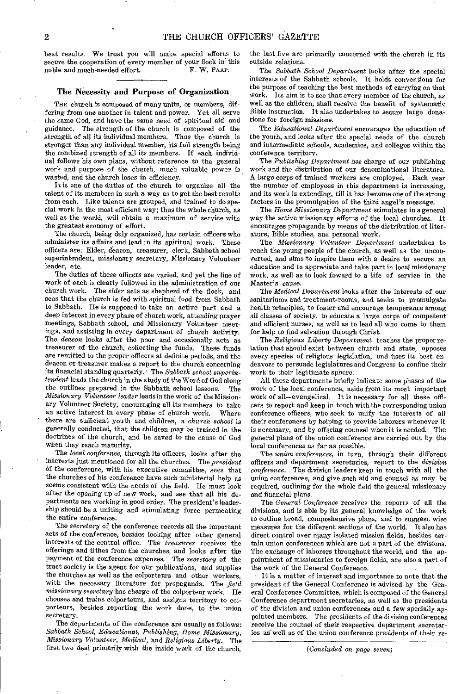best results. We trust you will make special efforts to secure the cooperation of every member of your flock in this noble and much-needed effort. F. W. PAAP. noble and much-needed effort.

#### The Necessity and Purpose of Organization

THE church is composed of many units, or members, differing from one another in talent and power. Yet all serve the same God, and have the same need of spiritual aid and guidance. The strength of the church is composed of the strength of all its individual members. Thus the church is stronger than any individual member, its full strength being the combined strength of all its members. If each individual follows his own plans, without reference to the general work and purpose of the church, much valuable power is wasted, and the church loses in efficiency.

It is one of the duties of the church to organize all the talent of its members in such a way as to get the best results from each. Like talents are grouped, and trained to do special work in the most efficient way; thus the whole church, as well as the world, will obtain a maximum of service with the greatest economy of effort.

The church, being duly organized, has certain officers who administer its affairs and lead in its spiritual work. These officers are: Elder, deacon, treasurer, clerk, Sabbath school superintendent, missionary secretary, Missionary Volunteer leader, etc.

The duties of these officers are varied, and yet the line of work of each is clearly followed in the administration of our church work. The *elder* acts as shepherd of the flock, and sees that the church is fed with spiritual food from Sabbath to Sabbath. He is supposed to take an active part and a deep interest in every phase of church work, attending prayer meetings, Sabbath school, and Missionary Volunteer meetings, and assisting in every department of church activity. The *deacon* looks after the poor and occasionally acts as treasurer of the church, collecting the funds. These funds are remitted to the proper officers at definite periods, and the deacon or treasurer makes a report to the church concerning its financial standing quarterly. The *Sabbath school superintendent* leads the church in the study of the Word of God along the outlines prepared in the Sabbath school lessons. The *Missionary Volunteer leader* leads in the work of the Missionary Volunteer Society, encouraging all its members to take an active interest in every phase of churoh work. Where there are sufficient youth and children, a *church school* is generally conducted, that the children may be trained in the doctrines of the church, and be saved to the cause of God when they reach maturity.

The *local conference,* through its officers, looks after the interests just mentioned for all the churches. The *president*  of the conference, with his executive committee, sees that the churches of his conference have such ministerial help as seems consistent with the needs of the field. He must look after the opening up of new work, and see that all his departments are working in good order. The president's leadership should be a uniting and stimulating force permeating the entire conference.

The *secretary* of the conference records all the important acts of the conference, besides looking after other general interests of the central office. The *treasurer* receives the offerings and tithes from the churches, and looks after the payment of the conference expenses. The *secretary* of the tract society is the agent for our publications, and supplies the churches as well as the colporteurs and other workers, with the necessary literature for propaganda. The *field missionary secretary* has charge of the colporteur work. He chooses and trains colporteurs, and assigns territory to colporteurs, besides reporting the work done, to the union secretary.

The departments of the conference are usually as follows: *Sabbath School, Educational, Publishing, Home Missionary, Missionary Volunteer, Medical,* and *Religious Liberty.* The first two deal primarily with the inside work of the church,

the last five are primarily concerned with the church in its outside relations.

The *Sabbath School Department* looks after the special interests of the Sabbath schools. It holds conventions for the purpose of teaching the best methods of carrying on that work. Its aim is to see that every member of the church, as well as the children, shall receive the benefit of systematic Bible instruction. It also undertakes to secure large donations for foreign missions.

The *Educational Department* encourages the education of the youth, and looks after the special needs of the church and intermediate schools, academies, and colleges within the conference territory.

The *Publishing Department* has charge of our publishing work and the distribution of our denominational literature. A large corps of trained workers are employed. Each year the number of employees in this department is increasing, and its work is extending, till it has become one of the strong factors in the promulgation of the third angel's message.

The *Home Missionary Department* stimulates in a general way the active missionary efforts of the local churches. It encourages propaganda by means of the distribution of literature; Bible studies, and personal work.

The *Missionary Volunteer Department* undertakes to reach the young people of the church, as well as the unconverted, and aims to inspire them with a desire to secure an education and to appreciate and take part in local missionary work, as well as to look foward to a life of service in the Master's cause.

The *Medical Department* looks after the interests of our sanitariums and treatment-rooms, and seeks to promulgate health principles, to foster and encourage temperance among all classes of society, to educate a large corps of competent and efficient nurses, as well as to lead all who come to them for help to find salvation through Christ.

The Religious Liberty Department teaches the proper relation that should exist between church and state, opposes every species of religious legislation, and Uses its best endeavors to persuade legislatures and Congress to confine their work to their legitimate sphere.

All these departments briefly indicate some phases of the work of the local conference, aside from its most important work of all—evangelical. It is necessary for all these officers to report and keep in touch with the corresponding union conference officers, who seek to unify the interests of all their conferences by helping to provide laborers whenever it is necessary, and by offering counsel when it is needed. The general plans of the union conference are carried out by the local conferences as far as possible.

The *union conferences,* in turn, through their different officers and department secretaries, report to the *division conference.'The* division leaders keep in touch with all the union conferences, and give such aid and counsel as may be required, outlining for the whole field the general missionary and financial plans.

The *General Conference* receives the reports of all the divisions, and is able by its general knowledge of the work to outline broad, comprehensive plans, and to suggest wise measures for the different sections of the world. It also has direct control over many isolated mission fields, besides certain union conferences which are not a part of the divisions. The exchange of laborers throughout the world, and the appointment of missionaries to foreign fields, are also a part of the work of the General Conference.

It is a matter of interest and importance to note that the president of the General Conference is advised by the General Conference Committee, which is composed of the General Conference department secretaries, as well as the presidents of the division and union conferences and a few specially appointed members. The presidents of the division conferences receive the counsel of their respective department secretaries as well as of the union conference presidents of their re-

*(Concluded on page seven)*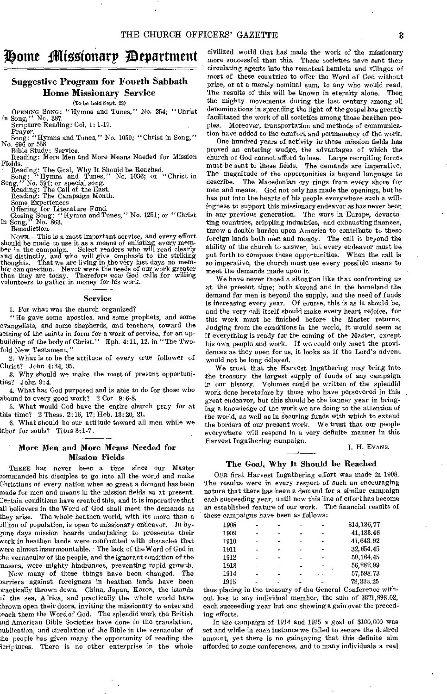## domeftlitoMonarp /Department

## Suggestive Program for Fourth Sabbath Home Missionary Service

(To be held Sept. 28)

OPENING SONG: "Hymns and Tunes," No. 254; "Christ

in Song," No. 387.

Scripture Reading: Col. 1: 1-17.

Prayer.<br>
Song: "Hymns and Tunes," No. 1050; "Christ in Song,"<br>
No. 696 or 558.<br>
Bible Study: Service.

Reading: More Men and More Means Needed for Mission Fields.

Reading: The Goal, Why It Should be Reached. Song: " Hymns and Tunes," No. 1036; or "Christ in Song," No. 594; or special song.

Reading: The Call of the East. Reading: The Campaign Month.

Some Experiences Offering for Literature Fund. Closing Song: "Hymns and Tunes," No. 1251; or "Christ in Song," No. 863. Song," No.<br>Benediction.

NOTE. —This is a most important service, and every effort should be made to use it as a means of enlisting every member in the campaign. Select readers who will read clearly<br>and distinctly, and who will give emphasis to the striking<br>thoughts. That we are living in the very last days no mem-<br>ber can question. Never were the needs of our volunteers to gather in money for his work.

#### Service

1. For what was the church organized?

"He gave some apostles, and some prophets; and some evangelists, and some shepherds, and teachers, toward the setting of the saints in form for a work of service, for an upbuilding of the body of Christ." Eph. 4:11, 12, in "The Twofold New Testament."

2. What is to be the attitude of every true follower of Christ? John 4:34, 35.

3. Why should we make the most of present opportunities? John 9:4.

4. What has God purposed and is able to do for those who abound to every good work?  $2 \text{ Cor. } 9:6-8$ .

5. What would God have the entire church pray for at this time? 2 Thess. 2:16, 17; Heb. 13: 20, 21,

6. What should be our attitude toward all men while we labor for souls? Titus 3:1-7,

#### More Men and More Means Needed for Mission Fields

THERE has never been a time since our Master 3ommanded his disciples to go into all the world and make Christians of every nation when so great a demand has been made for men and means in the mission fields as at present. Certain conditions have created this, and it is imperative that 311 believers in the Word of God shall meet the demands as they arise. The whole heathen world, with its more than a 3illion of population, is open to missionary endeavor. In by- ;one days mission boards undertaking to prosecute their work in heathen lands were confronted with obstacles that were almost insurmountable. The lack of the Word of God in ;he vernacular of the people, and the ignorant condition of the masses, were mighty hindrances, preventing rapid growth. Now many of these things have been changed. The

parriers against foreigners in heathen lands have been wactically thrown down. China, Japan, Korea, the islands if the sea, Africa, and practically the whole world have thrown open their doors, inviting the missionary to enter and mach them the Word of God. The splendid work the British and American Bible Societies have done in the translation, ublication, and circulation of the Bible in the vernacular of he people has given many the opportunity of reading the keriptures. There is no other enterprise in the whole

civilized world that had made the work of the missionary more successful than this. These societies have sent their circulating agents into the remotest hamlets and villages of most of these countries to offer the Word of God without price, or at a merely nominal sum, to any who would read. The results of this will be known in eternity alone. Then the mighty movements during the last century among all denominations in spreading the light of the gospel has greatly facilitated the work of all societies among those heathen peoples. Moreover, transportation and methods of communication have added to the comfort and permanency of the work.

One hundred years of activity in these mission fields has proved an entering wedge, the advantages of which the church of God cannot afford to lose. Large recruiting forces must be sent to these fields. The demands are imperative. The magnitude of the opportunities is beyond language to describe. The Macedonian cry rings from every shore for men and means. God not only has made the openings, but he has put into the hearts of his people everywhere such a willingness to support this missionary endeavor as has never been in any previous generation. The wars in Europe, devastating countries, crippling industries, and exhausting finances, throw a double burden upon America to contribute to these foreign lands both men and money. The call is beyond the ability of the church to answer, but every endeavor must be put forth to compass these opportunities. When the call is so imperative, the church must use every possible means to meet the demands made upon it.

We have never faced a situation like that confronting us at the present time; both abroad and in the homeland the demand for men is beyond the supply, and the need of funds is increasing every year. Of course, this is as it should be, and the very call itself should make every heart rejoice, for this work must be finished before the Master returns. Judging from the conditions in the world, it would seem as if everything is ready for the coming of the Master, except his own people and work. If we could only meet the providences as they open for us, it looks as if the Lord's advent would not be long delayed.

We trust that the Harvest Ingathering may bring into the treasury the largest supply of funds of any campaign in our history. Volumes could be written of the splendid work done heretofore by those who have persevered in this great endeavor, but this should be the banner year in bringing a knowledge of the work we are doing to the attention of the world, as well as in Securing funds with which to extend the borders of our present work. We trust that our people everywhere will respond in a very definite manner in this Harvest Ingathering campaign.

I. H. EVANS.

#### The Goal, Why It Should be Reached

OUR first Harvest Ingathering effort was made in 1908. The results were in every respect of such an encouraging nature that there has been a demand for a similar campaign each succeeding year, until now this line of effort has become an established feature of our work. The financial results of these campaigns have been as follows:

| 1908 |  |  | \$14,136,77 |
|------|--|--|-------------|
| 1909 |  |  | 41, 183, 46 |
| 1910 |  |  | 41,643.92   |
| 1911 |  |  | 32, 654.45  |
| 1912 |  |  | 50, 164, 45 |
| 1913 |  |  | 56,282.99   |
| 1914 |  |  | 57,598.73   |
| 1915 |  |  | 78, 333.25  |

thus placing in the treasury of the General Conference without loss to any individual member, the sum of \$371,998.02, each succeeding year but one showing a gain over the preceding efforts.

In the campaign of 1914 and 1915 *a goal of* \$100, 000 was set and while in each instance we failed to secure the desired amount, yet there is no gainsaying that this definite aim afforded to some conferences, and to many individuals a real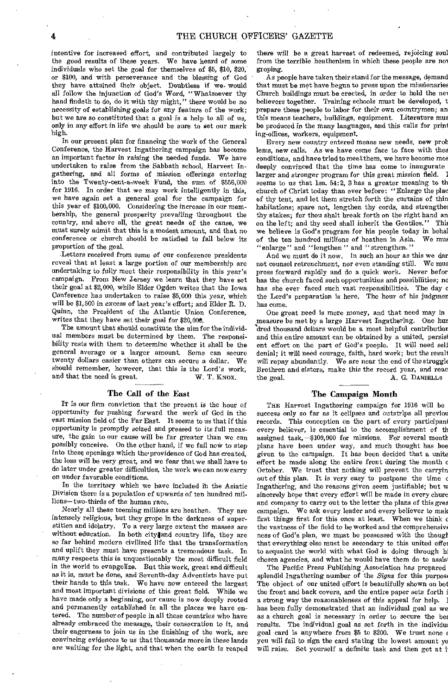incentive for increased effort, and contributed largely to the good results of these years. We have heard of some individuals who set the goal for themselves of \$5, \$10, \$20, or \$100, and with perseverance and the blessing of God they have attained their object. Doubtless if we. would all follow the injunction of God's Word, "Whatsoever thy hand findeth to do, do it with thy might," there would be no necessity of establishing goals for any feature of the work; but we are so constituted that a goal is a help to all of us, only in any effort in life we should be sure to set our mark high.

In our present plan for financing the work of the General Conference, the Harvest Ingathering campaign has become an important factor in raising the needed funds. We have undertaken to raise from the Sabbath school, Harvest Ingathering, and all forms of mission offerings entering into the Twenty-cent-a-week Fund, the sum of \$556,000 for 1916. In order that we may work intelligently in this, we have again set a general goal for the campaign for this year of \$100,000. Considering the increase in our membership, the general prosperity prevailing throughout the country, and above all, the great needs of the cause, we must surely admit that this is a modest amount, and that no conference or church should be satisfied to fall below its proportion of the goal.

Letters received from some of our conference presidents reveal that at least a large portion of our membership are undertaking to fully meet their responsibility in this year's campaign. From New Jersey we learn that they have set their goal at \$2,000, while Elder Ogden writes that the Iowa Conference has undertaken to raise \$5,000 this year, which will be \$1,500 in excess of last year's effort; and Elder R. D. Quinn, the President of the Atlantic Union Conference, writes that they have set their goal for \$20,006.

The amount that should constitute the aim for the individual members must be determined by them. The responsibility rests with them to determine whether it shall be the general average or a larger amount. Some can secure twenty dollars easier than others can secure a dollar. We should remember, however, that this is the Lord's work, and that the need is great. W. T. KNOX.

#### The Call of the East

IT is our firm conviction that the present is the hour of opportunity for pushing forward the work of God in the vast mission field of the Far East. It seems to us that if this opportunity is promptly seized and pressed to its full measure, the gain to our cause will be far greater than we can possibly conceive. On the other hand, if we fail now to step into these openings which the providence of God has created, the loss will be very great, and we fear that we shall have to do later under greater difficulties, the work we can now carry on under favorable conditions.

In the territory which we have included in the Asiatic Division there is a population of upwards of ten hundred millions—two-thirds of the human race.

Nearly all these teeming millions are heathen. They are intensely religious, but they grope in the darkness of superstition and idolatry. To a very large extent the masses are without education. In both city and country life, they are so far behind modern civilized life that the transformation and uplift they must have presents a tremendous task. In many respects this is unquestionably the most difficult field in the world to evangelize. But this work, great and difficult as it is, must be done, and Seventh-day Adventists have put their hands to this task. We have now entered the largest and most important divisions of this great field. While we have made only a beginning, our cause is now deeply rooted and permanently established in all the places we have entered. The number of people in all these countries who have already embraced the message, their consecration to it, and their eagerness to join us in the finishing of the work, are convincing evidences to us that thousands more in these lands are waiting for the light, and that when the earth is reaped

there will be a great harvest of redeemed, rejoicing soul from the terrible heathenism in which these people are no groping.

As people have taken their stand for the message, demand that must be met have begun to press upon the missionaries Church buildings must be erected, in order to hold the nev believers together. Training schools must be developed, t prepare these people to labor for their own countrymen; an this means teachers, buildings, equipment. Literature mus be produced in the many languages, and this calls for print ing-offices, workers, equipment.

Every new country entered means new needs, new prob lems, new calls. As we have come face to face with the: conditions, and have tried to meet them, we have become mos deeply convinced that the time has come to inaugurate larger and stronger program for this great mission field. I seems to us that Isa. 54:2, 3 has a greater meaning to th church of Christ today than ever before: "Enlarge the plat of thy tent, and let them stretch forth the curtains of thin habitations; spare not, lengthen thy cords, and strengthen thy stakes; for thou shalt break forth on the right hand an on the left; and thy seed shall inherit the Gentiles." This we believe is God's program for his people today in behals of the ten hundred millions of heathen in Asia. We must of the ten hundred millions of heathen in Asia. "enlarge" and "lengthen" and "strengthen."

And we must do it now. In such an hour as this we dar not counsel retrenchment, nor even standing still. We mus press forward rapidly and do a quick work. Never befor has the church faced such opportunities and possibilities; no has she ever faced such vast responsibilities. The day the Lord's preparation is here. The hour of his judgmen has come.

One great need is more money, and that need may in measure be met by a large Harvest Ingathering. One hur 'dred thousand dollars would be a most helpful contribution and this entire amount can be obtained by a united, persist ent effort on the part of God's people. It will need self denial; it will need courage, faith, hard work; but the result will repay abundantly. We are near the end of the struggle Brethren and sisters, make this the record year, and reac the goal. A. G. DANIELLS

#### The Campaign Month

THE Harvest Ingathering campaign for 1916 will be success only so far as it eclipses and outstrips all previou records. This conception on the part of every participant every believer, is essential to the accomplishment of th assigned task,—\$100,000 for missions. For several month plans have been under way, and much thought has bee given to the campaign. It has been decided that a unite effort be made along the entire front during the month c October. We trust that nothing will prevent the carryin out of this plan. It is very easy to postpone the time c Ingathering, and the reasons given seem justifiable; but w sincerely hope that every effort will be made in every churc and company to carry out to the letter the plans of this gres campaign. We ask every leader and every believer to mak first things first for this once at least. When we think c the vastness of the field to be worked and the comprehensiw ness of God's plan, we must be possessed with the though that everything else must be secondary to this united effoi to acquaint the world with what God is doing through hi chosen agencies, and what he would have them do to assis

The Pacific Press Publishing Association has prepared splendid Ingathering number of the *Signs* for this purpose The object of our united effort is beautifully shown on bot the front and back covers, and the entire paper sets forth i a strong way the reasonableness of this appeal for help. has been fully demonstrated that an individual goal as we as a church goal is necessary in order to secure the be: results. The individual goal as set forth in the individu: goal card is anywhere from \$5 to \$200. We trust none you will fail to sign the card stating the lowest amount yo will raise. Set yourself a definite task and then get at i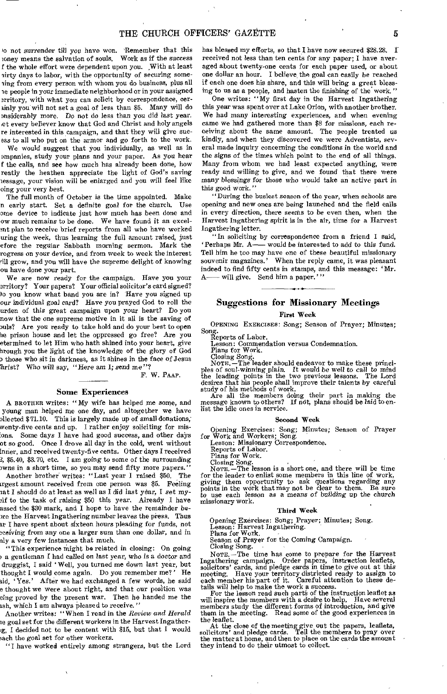M not surrender till you have won. 'Remember that this ioney means the salvation of souls. Work as if the success f the whole effort were dependent upon you. With at least lirty days to labor, with the opportunity of securing someling from every person with whom you do business, plus all re people in your immediate neighborhood or in your assigned Drritory, with what you can solicit by correspondence, cerainly you will not set a goal of less than \$5. Many will do Dnsiderably more. Do not do less than *you* did *last* year. at every believer know that God and Christ and holy angels re interested in this campaign, and that they will give sucess to all who put on the armor and go forth to the work.

We would suggest that you individually, as well as in companies, study your plans and your paper. As you hear f the calls, and see how much has already been done, how reatly the heathen appreciate the light of God's saving iessage, your vision will be enlarged and you will feel like oing your very best.

The full month of October is the time appointed. Make n early start. Set a definite goal for the church. Use ome device to indicate just how much has been done and ow much remains to be done. We have found it an excelmt plan to receive brief reports from all who have worked wring the week, thus learning the full amount raised, just efore the regular Sabbath morning sermon. Mark the rogress on your device, and from week to week the interest ill grow, and you will have the supreme delight of knowing ou have done your part.

We are now ready for the campaign. Have you your erritory? Your papers? Your official solicitor's card signed? /o you know what band you are in? Have you signed up our individual goal card? Have you prayed God to roll the urden of this great campaign upon your heart? Do you now that the one supreme motive in it all is the saving of ouls? Are you ready to take hold and do your best to open he prison house and let the oppressed go free? Are you etermined to let Him who hath shined into your heart, give hrough you the light of the knowledge of the glory of God 3 those who sit in darkness, as it shines in the face of Jesus 'hrist? Who will say, "Here am I; send me"?

F. W. PAAP.

#### Some Experiences

A BROTHER writes: "My wife has helped me some, and Wing man helped me one day, and altogether we have allected \$ 71.10. This is largely made up of small donations; wenty-five cents and up. I rather enjoy soliciting for misons. Some days I have had good success, and other days of so good. Once I drove all day in the cold, went without inner, and received twenty-five cents. Other days I received 1, \$5.40, \$3.70, etc. I am going to some of the surrounding nvns in a short time, so you may send fifty more papers."

Another brother' writes: "Last year I raised \$50. The trgest amount received from one person was \$5. Feeling tat I should *do* at least as well as I did last year, I set my elf to the task of raising \$50 this year. Already I have assed the \$30 mark, and I hope to have the remainder bewe the Harvest Ingathering number leaves the press. Thus tr I have spent about sixteen hours pleading for funds, not eceiving from any one a larger sum than one dollar, and in nly a very few instances that much.

"This experience might be related in closing: On going / a gentleman I had called on last year, who is a doctor and druggist, I said ' Well, you turned me down last year, but thought I would come again. Do you remember me?' He aid, `Yes.' After we had exchanged a few words, he said e thought we were about right, and that our position was eing proved by the present war. Then he handed me the ash, which I am always pleased to receive."

Another writes: "When I read in the *Review and Herald*  le goal set for the different workers in the Harvest Ingather ig, I decided not to be content with \$15, but that  $\overline{1}$  would :ach the goal set for other workers.

"I have worked entirely among strangers, but the Lord

has blessed my efforts, so that I have now secured \$28.28. I received not less than ten cents for any paper; I have averaged about twenty-one cents for each paper used, or about one dollar an hour. I believe the goal can easily be reached if each one does *his* share, and this will bring a great blessing to us as a people, and hasten the finishing of the work."

One writes: "My first day in the Harvest Ingathering this year was spent over at Lake Orion, with another brother. We had many interesting experiences, and when evening came we had gathered more than \$8 for missions, each receiving about the same amount. The people treated us kindly, and when they discovered we were Adventists, several made inquiry concerning the conditions in the world and the signs of the times which point to the end of all things. Many from whom we had least expected anything, were ready and willing to give, and we found that there were many *blessings for those* who would take an *active part* in this good work."

"During the busiest season of the year, when schools are opening and new ones are being launched and the field calls in every direction, there seems to be even then, when the Harvest Ingathering spirit is in the air, time for a Harvest Ingathering letter.

"In soliciting by correspondence from a friend I said, `Perhaps Mr. A— would be interested to add to this fund. Tell him he too may have one of these beautiful missionary souvenir magazines.' When the reply came, it was pleasant indeed to find fifty cents in stamps, and this message: 'Mr.<br> $\Delta$ ——will give Sand him a nanar.'' - will give. Send him a paper.'

## Suggestions for Missionary Meetings

First Week

OPENING EXERCISES: Song; Season of Prayer; Minutes; Song. Reports of Labot. Lesson: Commendation versus Condemnation. Plans for Work. Closing Song.

Closing Song.<br>NOTE.—The leader should endeavor to make these princi-<br>NOTE.—The leader should endeavor to make these principles of soul-winning plain. It would be well *to* call to mind the leading points in the two previous lessons. The Lord desires that his people shall improve their talents by careful study of his methods of work.

Are all the members doing their part in making the message known to others? If not, plans should be laid to enlist the idle ones in service.

#### Second Week

Opening Exercises: Song; Minutes; Season of Prayer for Work and Workers; Song. Lesson: Missionary Correspondence.

Reports of Labor.

Plans for Work.

Closing Song.<br>NorE. -The lesson is a short one, and there will be time<br>for the leader to enlist some members in this line of work,<br>giving them opportunity to ask questions regarding any<br>points in the work that may not be c missionary work.

#### Third Week

Opening Exercises: Song; Prayer; Minutes; Song.

Lesson: Harvest Ingathering. Plans for Work. Season of Prayer for the Coming Campaign.

Closing Song.

NOTE. —The time has come to prepare for the Harvest Ingathering campaign. Order papers, instruction leaflets, solicitors' cards, and pledge cards in time to give out at this meeting. Have your territory districted ready to assign to each member his part of it. Careful attention to these details will help to make the work a success.<br>For the lesson read such parts of the instruction leaflet as will inspire the members with a desire to help. Have several

members study the different forms of introduction, and give them in the meeting. Read some of the good experiences in the leaflet.

At the close of the meeting give out the papers, leaflets, solicitors' and pledge cards. Tell the members to pray over the matter at home, and then to place on the cards the amount they intend to do their utmost to collect.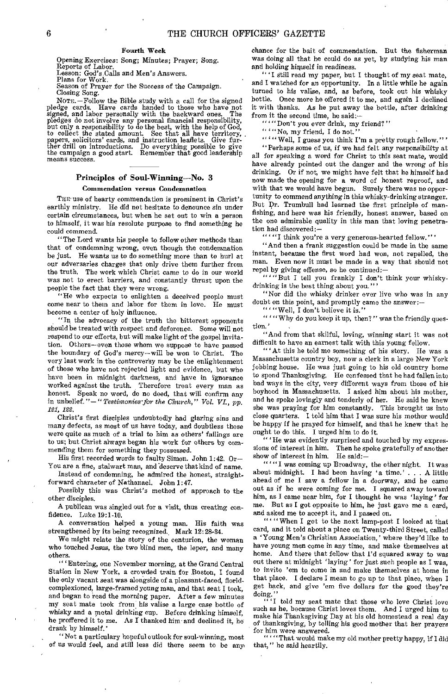#### Fourth Week

Opening Exercises: Song; Minutes; Prayer; Song. Reports of Labor. Lesson: God's Calls and Men's Answers. Plans for Work. Season of Prayer for the Success of the Campaign.

Closing Song. NOTE. —Follow the Bible study with a call for the signed pledge cards. Have cards handed to those who have not signed, and labor personally with the backward ones. The pledges do not involve any personal financial responsibility, but only a responsibility to do the best, with the help of God, to collect the stated amount. See that all have territory, papers, solicitors' cards, and instruction leaflets. Give fur-<br>ther drill on introductions. Do ever

#### Principles of Soul-Winning—No. 3 Commendation versus Condemnation

THE use of hearty commendation is prominent in Christ's earthly ministry. He did not hesitate to denounce sin under certain circumstances, but when he set out to win a person to himself, it was his resolute purpose to find something he could commend.

"The Lord wants his people to follow other methods than that of condemning wrong, even though the condemnation be just. He wants us to do something more than to hurl at our adversaries charges that only drive them further from the truth. The work which Christ came to do in our world was not to erect barriers, and constantly thrust upon the people the fact that they were wrong.

"Ile who expects to enlighten a deceived people must come near to them and labor for them in love. He must become a center of holy influence.

"In the advocacy of the truth the bitterest opponents should be treated with respect and deference. Some will not respond to our efforts, but will make light of the gospel invitation. Others—even those whom we suppose to have passed the boundary of God's mercy—will be won to Christ. The very last work in the controversy may be the enlightenment of those who have not rejected light and evidence, but who have been in midnight darkness, and have in ignorance worked against the truth. Therefore treat every man as honest. Speak no word, do no deed, that will confirm any in unbelief."—" *Testimonies for the Church," Vol. VL,* pp. *121, 122.* 

Christ's first disciples undoubtedly had glaring sins and many defects, as most of us have today, and doubtless these were quite as much of a trial to him as others' failings are to us; but Christ always began his work for others by commending them for something they possessed.

His first recorded words to faulty Simon. John 1:42. Or— You are a fine, stalwart man, and deserve that kind of name.

Instead of condemning, he admired the honest, straightforward character of Nathanael. John 1:47.

Possibly this was Christ's method of approach to the other disciples.

A publican was singled out for a visit, thus creating confidence. Luke 19:1-10.

A conversation helped a young man. His faith was strengthened by its being recognized. Mark 12:28-84.

We might relate the story of the centurion, the woman who touched Jesus, the two blind men, the leper, and many others.

"'Entering, one November morning, at the Grand Central Station in New York, a crowded train for Boston, I found the only vacant seat was alongside of a pleasant-faced, floridcomplexioned, large-framed young man, and that seat I took, and began to read the morning paper. After a few minutes my seat mate took from.his valise a large case bottle of whisky and a metal drinking cup. Before drinking himself, he proffered it to me. As I thanked him and declined it, he drank by himself.'

"Not a particulary hopeful outlook for soul-winning, most of us would feel, and still less did there seem to be any

chance for the bait of commendation. But the fisherman was doing all that he could do as yet, by studying his man and holding himself in readiness.

" 'I still read my paper, but I thought of my seat mate, and I watched for an opportunity. In a little while he again turned to his valise, and, as before, took out his whisky bottle. Once more he offered it to me, and again I declined it with thanks. As he put away the bottle, after drinking from it the second time, he said:

""Don't you ever drink, my friend?"

 $````$ No, my friend, I do not.'

" "" Well, I guess you think I'm a pretty rough fellow."'

"Perhaps some of us, if we had felt any responsibility at all for speaking a word for Christ to this seat mate, would have already pointed out the danger and the wrong of his drinking. Or if not, we might have felt that he himself had now made the opening for a word of honest reproof, and with that we would have begun. Surely there was no opportunity to commend anything in this whisky-drinking stranger. But Dr. Trumbull had learned the first principle of manfishing, and here was his friendly, honest answer, based on the one admirable quality in this man that loving penetration had discovered:—

""'I think you're a very generous-hearted fellow."'

"And then a frank suggestion could be made in the same instant, because the first word had won, not repelled, the man. Even now it must be made in a way that should not repel by giving offense, so he continued:—

"""But I tell you frankly I don't think your whiskydrinking is the best thing about you. '

"Nor did the whisky drinker ever live who was in any doubt on this point, and promptly came the answer:—

" " Well, I don't believe it is."

" "Why do you keep it up, then?" was the friendly question.'

"And from that skilful, loving, winning start it was not difficult to have an earnest talk with this young fellow.

" At this he told me something of his story. He was a Massachusetts country boy, now a clerk in a large New York jobbing house. He was just going to his old country home to spend Thanksgiving. He confessed that he had fallen into bad ways in the city, very different ways from those of his boyhood in Massachusetts. I asked him about his mother, and he spoke lovingly and tenderly of her. He said he knew she was praying for him constantly. This brought us into close quarters. I told him that I was sure his mother would be happy if he prayed for himself, and that he knew that he ought to do this. I urged him to do it.

" ' He was evidently surprised and touched by my expressions of interest in him. Then he spoke gratefully of another show of interest in him. He said:—

"" '"I was coming up Broadway, the other night. It was about midnight. I had been having 'a time.' . . . A little ahead of me I saw a fellow in a doorway, and he came out as if he were coming for me. I squared away toward him, as I came near him, for I thought he was 'laying' for me. But as I got opposite to him, he just gave me a card, and asked me to accept it, and I passed on.

"" "When I got to the next lamp-post I looked at that card, and it told about a place on Twenty-third Street, called a 'Young Men's Christian Association,' where they'd like to have young men come in any time, and make themselves at home. And there that fellow that I'd squared away to was out there at midnight 'laying' for just such people as I was, to invite 'em to come in and make themselves at home in that place. I declare I mean to go up to that place, when I get back, and give 'em five dollars for the good they're doing."

" 'I told my seat mate that those who love Christ love such as he, because Christ loves them. And I urged him to make his Thanksgiving Day at his old homestead a real day of thanksgiving, by telling his good mother that her prayers for him were answered.

" ' "That would makemy old mother pretty happy, if I did that," he said heartily.

means success.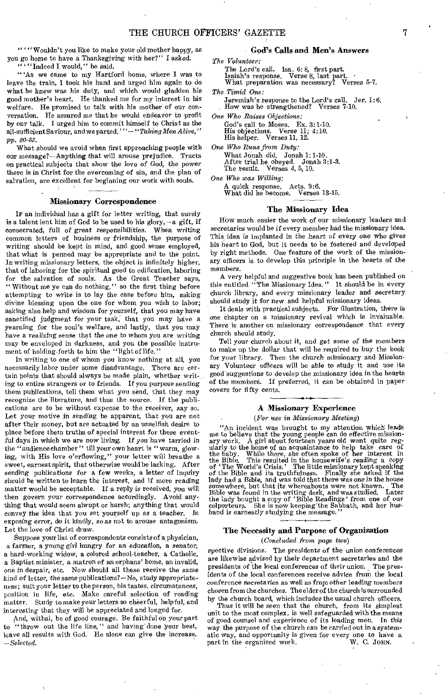" ' "Wouldn't you like to make your old mother happy, as you go home to have a Thanksgiving with her?" I asked. "Indeed I would," he said.

"'As we came to my Hartford home, where I was to leave the train, I took his hand and urged him again to do what he knew was his duty, and which would gladden his good mother's heart. He thanked me for my interest in his welfare. He promised to talk with his mother of our conversation. He assured me that he would endeavor to profit by our talk. I urged him to commit himself to Christ as the all-sufficient Saviour, and we parted,' "— *"Taking Men Alive," pp. 80-83.* 

What should we avoid when first approaching people with our message?—Anything that will arouse prejudice. Tracts on practical subjects that show the love of God, the power there is in Christ for the overcoming of sin, and the plan of salvation, are excellent for beginning our work with souls.

#### Missionary Correspondence

IF an individual has a gift for letter writing, that surely is a talent lent him of God to be used to his glory, $-a$  gift, if consecrated, full of great responsibilities. When writing common letters of business or friendship, the purpose of writing should be kept in mind, and good sense employed, that what is penned may be appropriate and to the point. In writing missionary letters, the object is infinitely higher, that of laboring for the spiritual good to edification, laboring for the salvation of souls. As the Great Teacher says, " Without me ye can do nothing," so the first thing before attempting to write is to lay the case before him, asking divine blessing upon the one for whom you wish to labor; asking also help and wisdom for yourself, that you may have sanctified judgment for your task, that you may have a yearning for the soul's welfare, and lastly, that you may have a realizing sense that the one to whom you are writing may be enveloped in darkness, and you the possible instrument of holding forth to him the "light of life."

In writing to one of whom you know nothing at all, you necessarily labor under some disadvantage. There are certain points that should always be made plain, whether writing to entire strangers or to friends. If you purpose sending them publications, tell them what you send, that they may recognize the literature, and thus the source. If the publications are to be without expense to the receiver, say so. Let your motive in sending be apparent, that you are not after their money, but are actuated by an unselfish desire to place before them truths of special interest for these eventful days in which we are now *living. If* you have tarried in the "audience chamber" till your own heart is "warm, glowing, with His love o'erflowing," your letter will breathe a sweet, earnest spirit, that otherwise would be lacking. After sending publications for a few weeks, a letter of inquiry should be written to learn the interest, and if more reading matter would be acceptable. If a reply is received, you will then govern your correspondence accordingly. Avoid anything that would seem abrupt or harsh; anything that would convey the idea that you set yourself up as a teacher. In exposing error, do it kindly, so as not to arouse antagonism. Let the love of Christ draw.

Suppose your list of correspondents consists of a physician, a farmer, a young girl hungry for an education, a senator, a hard-working widow, a colored school-teacher, a Catholic, a Baptist minister, a matron of an orphans' home, an invalid, one in despair, etc. Now should all these receive the same kind of letter, the same publications?—No, study appropriateness; suit your letter to the person, his tastes, circumstances, position in life, etc. Make careful selection of reading matter, Study to make your letters so cheerful, helpful, and interesting that they will be appreciated and longed for.

And, withal, be of good courage. Be faithful on your part to "throw out the life line," and having' done your best, leave all results with God. He alone can give the increase. *—Selected.* 

#### God's Calls and Men's Answers

*The Volunteer:*  The Lord's call. Isa. 6: 8, first part. Isaiah's response. Verse 8, last part. • What preparation was necessary? Verses 5-7.

*The Timid One:*  Jeremiah's response to the Lord's call. Jer. 1:6. How was he strengthened? Verses 7-10.

*One Who Raises Objections:* 

God's call to Moses. Ex. 3:1-10. His objections. Verse 11; 4:10. His helper. Verses 11, 12.

One *Who Runs from Duty:*  What Jonah did. Jonah 1:1-10. After trial he obeyed. Jonah 3:1-3. The result. Verses 4, 5, 10.

One *Who was Willing:*  A quick response. Acts. 9:6. What did he become. Verses 13-15.

#### The Missionary Idea

How much easier the work of our missionary leaders and secretaries would be if every member had the missionary idea. This idea is implanted in the heart of every one who gives his heart to God, but it needs to be fostered and developed by right methods. One feature of the work of the missionary officers is to develop this principle in the hearts of the members.

A very helpful and suggestive book has been published on this entitled "The Missionary Idea." It should be in every church library, and every missionary leader and secretary should study it for new and helpful missionary ideas.

It deals with practical subjects. For illustration, there is one chapter on a missionary revival which is invaluable. There is another on missionary correspondence that every church should study.

Tell your church about it, and get some of the members to make up the dollar that will be required to buy the book for your library. Then the church missionary and Missionary Volunteer officers will be able to study it and use its good'suggestions *to* develop the missionary idea in the hearts of the members. If preferred, it can be obtained in paper covers for fifty cents.

#### A *Missionary* Experience

#### *(Far use in Missionary Meeting)*

"An incident was brought to my attention which leads me to believe that the young people can do effective mission-<br>ary work. A girl about fourteen years old went quite regularly to the home of an acquaintance to help take care of<br>the baby. While there, she often spoke of her the lady bought a copy of 'Bible Readings' from one of our colporteurs. She is now keeping- the Sabbath, and her husband *is earnestly* studying the message."

#### The Necessity and Purpose of Organization *(Concluded from page two)*

spective divisions. The presidents of the union conferences are likewise advised by their department secretaries and the presidents of the local conferences of their union. The presidents of the local conferences receive advice from the local conference secretaries as well as from other leading members chosen from the churches. The elder of the church is surrounded by the church board, which includes the usual church officers.

Thus it will be seen that the church, from its simplest unit to the most complex, is well safeguarded with the means of good counsel and experience of its leading men. In this way the purpose of the church can be carried out in a systematic way, and opportunity is given for every one to have a part in the organized work.  $W$ . C. JOHN. part in the organized work.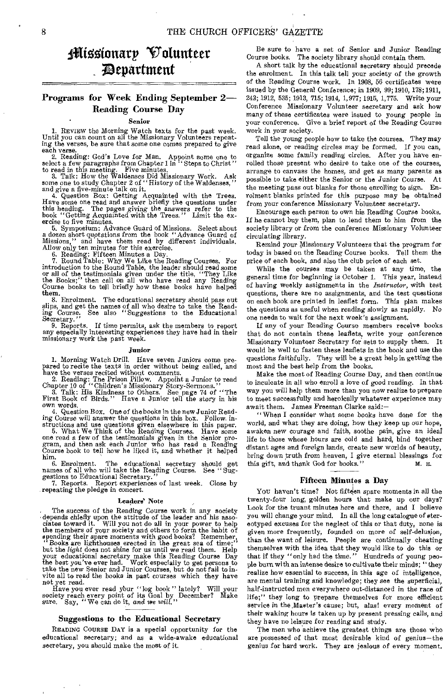## 1Nissionary Volunteer ;Department

## Programs for Week Ending September 2— Reading Course Day

#### Senior

1. REVIEW the Morning Watch texts for the past week. Until you can count on all the Missionary Volunteers repeat-ing the verses, be sure that some one comes prepared to give

each verse.<br>
2. Reading: God's Love for Man. Appoint some one to<br>
select a few paragraphs from Chapter 1 in "Steps to Christ"<br>
to read in this meeting. Five minutes.<br>
3. Talk: How the Waldenses Did Missionary Work. Ask<br>
so book "Getting Acquainted with the Trees." Limit the ex-ercise to five minutes.

5. Symposium: Advance Guard of Missions. Select about a dozen short quotations from the book "Advance Guard of Missions," and have them read by different individuals. Allow only ten minutes for this exercise.<br>6. Reading: F

the Books;" then call on all who have read any Reading Course books to tell briefly how these books have helped them.

8. Enrolment. The educational secretary should pass out slips, and get the names of all who desire to take the Read-ing Course. See also "Suggestions to the Educational Secretary."

9. Reports. If time permits, ask the members to report any especially interesting experiences they have had in their missionary work the past week.

#### Junior

1. Morning Watch Drill. Have seven Juniors come pre-pared to recite the texts in order without being called, and have the verses recited without comments.

2. Reading: The Prison Pillow. Appoint a Junior to read Chapter 10 of "Children's Missionary Story-Sermons." 3. Talk: His Kindness to Others. See page 74 of "The First Book of Birds." Have a Junior tell the story in his own words.

4. Question Box. One of the books in the new Junior Reading Course will answer the questions in this box.

structions and use questions given elsewhere in this paper. 5. What We Think of the Reading Courses. Have some one read a few of the testimonials given in the Senior pro-gram, and then ask each Junior who has read a Reading Course book to tell how he liked it, and whether it helped him.

6. Enrolment. The educational secretary should get names of all who will take the Reading Course. See " Suggestions to Educational Secretary.

7. Reports. Report experiences of last week. Close by repeating the pledge in concert.

#### Leaders' Note

The success of the Reading Course work in any society depends chiefly upon the attitude of the leader and his asso-ciates toward it. Will you not do all in your power to help the members of your society and others to form the habit of spending their spare moments with good books? Remember, "Books are lighthouses erected in the great sea of time;"<br>but the *light* does not shine for us until we r the best you've ever had. Work especially to get persons to take the new Senior and Junior Courses, but do not fail to invite all to read the books in past courses which they have not yet read.

Have you ever read your "log book" lately? Will your society reach every point of its Goal by December? Make sure. Say, "We can do it, and we will."

#### Suggestions to the Educational Secretary

READING COURSE DAY is a special opportunity for the educational secretary; and as a wide-awake educational secretary, you should make the most of it.

Be sure to have a set of Senior and Junior Reading Course books. The society library should contain them.

A short talk by the educational secretary should precede the enrolment. In this talk tell your society of the growth of the Reading Course work. In 1908, 56 certificates were issued by the General Conference; in 1909, 99; 1910, 178; 1911, 242; 1912, 535; 1913, 715; 1914, 1,977; 1915, 1,775. Write your Conference Missionary Volunteer secretary and ask how many of these certificates were issued to young people in your conference. Give a brief report of the Reading Course work in your society.

Tell the young people how to take the courses. They may read alone, or reading circles may be formed. If you can, organize some family reading circles. After you have enrolled those present who desire to take one of the courses, arrange to canvass the homes, and get as many parents as possible to take either the Senior or the Junior Course. At the meeting pass out blanks for those enrolling to sign. Enrolment blanks printed for this purpose may be obtained from your conference Missionary Volunteer secretary.

Encourage each person to own his Reading Course books. If he cannot buy them, plan to lend them to him from the society library or from the conference Missionary Volunteer circulating library.

Remind your Missionary Volunteers that the program for today is based on the Reading Course books. Tell them the price of each book, and also the club price of each set.

While the courses may be taken at any time, the general time for beginning is October 1. This year, instead of having weekly assignments in the *Instructor,* with test questions, there are no assignments, and the test questions on each book are printed in leaflet form. This plan makes the questions as useful when reading slowly as rapidly. No one needs to wait for the next week's assignment.

If any of your Reading Course members receive books that do not contain these leaflets, write your conference Missionary Volunteer Secretary for sets to supply them. It would be well to fasten these leaflets in the book and use the questions faithfully. They will be a great help in getting the most and the best help from the books.

Make the most of Reading Course Day, and then continue to inculcate in all who enroll a love of good reading. In that way you will help them more than you now realize to prepare to meet successfully and heroically whatever experience may await them. James Freeman Clarke said:—

" When I consider what some books have done for the world, and what they are doing, how they keep up our hope, awaken new courage and faith, soothe pain, give an ideal. life to those whose hours are cold and hard, bind together distant ages and foreign lands, create new worlds of beauty, bring down truth from heaven, I give eternal blessings for this wift, and thank God for books." this gift, and thank God for books."

#### Fifteen Minutes a Day

You haven't time? Not fifteen spare moments in all the twenty-four long, golden hours that make up our days? Look for the truant minutes here and there, and I believe you will change your mind. In all the long catalogue of stereotyped excuses for the neglect of this or that duty, none is given more frequently, founded on more of self-delusion, than the want of leisure. People are continually cheating themselves with the idea that they would like to do this or that if they "only had the time." Hundreds of young people burn with an intense desire to cultivate their minds; "they realize how essential to success, in this age of intelligence, are mental training and knowledge; they see the superficial, half-instructed men everywhere out-distanced in the race of life;" they long to prepare themselves for more efficient service in the ,Master's cause; but, alas! every moment of their waking hours is taken up by present pressing calls, and they have no leisure for reading and study.

The men who achieve the greatest things are those who are possessed of that most desirable kind of genius—the genius for hard work. They are jealous of every moment.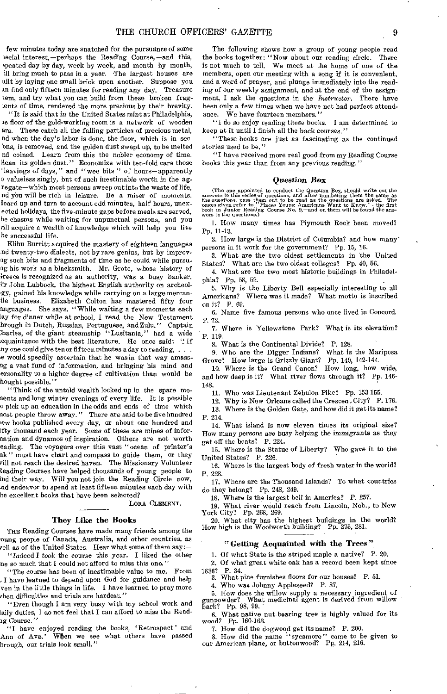few minutes today are snatched for the pursuance of some becial interest,-perhaps the Reading Course,-and this, apeated day by day, week by week, and month by month, ill bring much to pass in a year. The largest houses are uilt by laying one small brick upon another. Suppose you an find only fifteen minutes for reading any day. Treasure nem, and try what you can build from these broken fragtents of time, rendered the more precious by their brevity.

"It is said that in the United States mint at Philadelphia, 2e floor of the gold-working room is a network of wooden ars. These catch all the falling particles of precious metal, nd when the day's labor is done, the floor, which is in secons, is removed, and the golden dust swept up, to be melted nd coined. Learn from this the nobler economy of time. Hean its golden dust." Economize with ten-fold care those 'leavings of days," and "wee bits" of hours-apparently o valueless singly, but of such inestimable worth *in* the *agregate-which* most persons sweep out into the waste of life, nd ybu will be rich in leisure. Be a miser of moments. bard up and turn to account odd minutes, half hours, unexected holidays, the five-minute gaps before meals are served, he chasms while waiting for unpunetual persons, and you till acquire a wealth of knowledge which will help you live he successful life.

Elihu Burritt acquired the mastery of eighteen languages nd twenty-two dialects, not by rare genius, but by improv-Ig such bits and fragments of time as he could while pursuag his work as a blacksmith. Mr. Grote, whose history of freece is recognized as an authority, was a busy banker. Sir John Lubbock, the highest English authority on archeolgy, gained his knowledge while carrying on a large mercanile business. Elizabeth Colton has mastered fifty four anguages. She says, " While waiting a few moments each lay for dinner while at school, I read the New Testament hrough in Dutch, Russian, Portuguese, and Zulu." Captain Iharles, of the giant steamship "Lusitania," had a wide .cquaintance with the best literature. He once said: " If ny one could give ten or fifteen minutes a day to reading, . . le would speedily ascertain that he was in that way amassng a vast fund of information, and bringing his mind and ersonality to a higher degree of cultivation than would be hought possible."'

"Think of the untold wealth locked up in the spare mocents and long winter evenings of every life. It is possible o pick up an education in the odds and ends of time which nost people throw away." There are said to be five hundred lew books published every day, or about one hundred and fly thousand each year. Some *of* these are *mines* of infernation and dynamos of inspiration. Others are not worth eading. The voyagers over this vast "ocean of printer's ak " must have chart and compass to guide them, or they till not reach the desired haven. The Missionary Volunteer tending Courses have helped thousands of young people to ind their way. Will you not join the Reading Circle now, .nd endeavor to spend at least fifteen minutes each day with he excellent books that have been selected?

LORA CLEMENT.

#### They Like the Books

THE Reading Courses have made many friends among the oung people of Canada, Australia, and other countries, as tell as of the United States. Hear what some of them say:- "Indeed I took the course this year. I liked the other

ne so much that I could not afford to miss this one." "The course has been of inestimable value to me. From

:I have learned to depend upon God for guidance and help yen in the little things in life. I have learned to pray more then difficulties and trials are hardest."

"Even though I am very busy with my school work and laily duties, I do not feel that I can afford to miss the Read-Ig Course."

"I have enjoyed reading the books, 'Retrospect' and Ann of Ava.' When we see what others have passed hrough, our trials look small."

The following shows how a group of young people read the books together: "Now about our reading circle. There is not much to tell. We meet at the home of one of the members, open our meeting with a song if it is convenient, and a word of prayer, and plunge immediately into the reading of our weekly assignment, and at the end of the assignment, I ask the questions in the- *Instructor.* There have been only a few times when we have not had perfect attendance. We have fourteen members."

"I do so enjoy reading these books. I am determined to keep at it until I finish all the back courses."

"These books are just as fascinating as the continued stories used to be."

"I have received more real good from my Reading Course books this year than from any previous reading."

#### *Question* Box

(The one appointed to conduct the Question Box, should write out the answers to this series of questions, and after numbering them the same as the questions, pass them out to be read as the questions are asked. The pages

1. How many times has Plymouth Rock been moved? Pp. 11-13.

2. How large is the District of Columbia? and how many' persons in it work for the government? Pp. 15, 16.

3. What are the two oldest settlements in the United States? What are the two oldest colleges? Pp. 40, 56.

4. What are the two most historic buildings in Philadelphia? Pp. 58, 59.

5. Why is the Liberty Bell especially interesting to all Americans? Where was it made? What motto is inscribed on it? P. 69.

6. Name five famous persons who once lived in Concord. P. 72.

7. Where is Yellowstone Park? What is its elevation? P. 119.

8. What is the Continental Divide? P. 128.

9. Who are the Digger Indians? What is the Mariposa Grove? How large is Grizzly Giant? Pp. 140, 142-144.

10. Where is the Grand Canon? How long, how wide, and how deep is it? What river flows through it? Pp. 146- 148.

11. Who was Lieutenant Zebulon Pike? Pp. 153-155.

12. Why is New Orleans called the Crescent City? P. 176.

13. Where is the Golden Gate, and how did it get its name? P. 214.

14. What island is now eleven times its original size? How many persons are busy *helping the immigrants* as they get off the boats? P. 224.

15. Where is the Statue of Liberty? Who gave it to the United States? P. 226.

16. Where is the largest body of fresh water in the world? P. 228.

17. Where are the Thousand Islands? To what countries do they belong? Pp. 248, 249.

18. Where is the largest bell in America? P. 257.

19. What river would reach from Lincoln, Neb., to New York City? Pp. 268, 269.

20. What city has the highest buildings in the world? How high is the Woolworth building? Pp. 275, 281.

#### "Getting Acquainted with the Trees'?

1. Of what State is the striped maple a native? P. 20.

2. Of what great white oak has a record been kept since

1636? P. 34. 3. What pine furnishes floors for our houses? P. 51.

4. Who was Johnny Appleseed? P. 87.

5. How does the willow supply a necessary ingredient of gunpowder? What medicinal agent is derived from willow

gunpowder? Wha<br>bark? Pp. 98, 99.

6. What native nut-bearing tree is highly valued for its *wood?* Pp. 160-163.

7. How did the dogwood get its name? P. 200.

8. How did the name " sycamore " come to be given to our American plane, or buttonwood? Pp. 214, 216.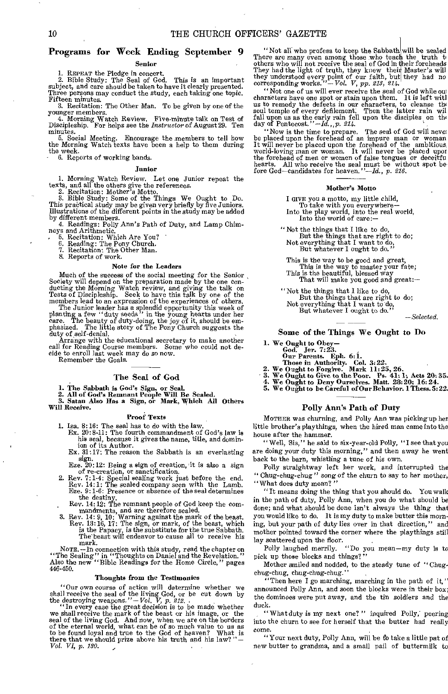## Programs for Week Ending September 9

#### Senior

1. REPEAT the Pledge in concert. 2. Bible Study: The Seal of God. This is an important subject, and care should be taken to have it clearly presented. Three persons may conduct the study, each taking one topic. Fifteen minutes.

3. Recitation: The Other Man. To be given by one of the

younger members. 4. Morning Watch Review. Five-minute talk on Test of Discipleship. For helps see the *Instructor* of August 29. Ten minutes.

5. Social Meeting. Encourage the members to tell how the Morning Watch texts have been a help to them during the week.

6. Reports of working bands.

#### Junior

1. Morning Watch Review. Let one Junior repeat the texts, and all the others give the references. 2. Recitation: Mother's Motto.

3. Bible Study: Some of the Things We Ought to Do. This practical study may be given very briefly by five Juniors. Illustrations of the different points in the study may be added

by different members. 4. Readings: Polly Ann's Path of Duty, and Lamp Chim-neys and Arithmetic. 5. Recitation: Which Are You? 6. Reading: The Pony Church. 7. Recitation: The Other Man. 8. Reports of work.

#### Note for the Leaders

Much of the success of the social meeting for the Senior Society will depend on the preparation made by the one con-ducting the Morning Watch review, and giving the talk on Tests of Discipleship. Seek to have this talk by one of the members lead to an expression of the experiences of others. The Junior leader has a splendid opportunity this week of planting a few "duty seeds" in the young hea

care. The beauty of duty-doing, the joy of it, should be em-phasized. The little story of The Pony Church suggests the duty of self-denial. Arrange with the educational secretary to make another

call for Reading Course members. Some who could not decide to enroll last week may do so now. Remember the Goals.

#### The Seal of God

1. The Sabbath is God's Sign, or Seal. 2. All of God's Remnant People Will Be Sealed. 3. Satan Also Has a Sign, or Mark, Which All Others Will Receive.

#### Proof Texts

1. Isa. 8:16: The seal has to do with the law.

Ex. 20:8-11: The fourth commandment of God's law is his seal, because it gives the name, title, and domin-<br>ion of its Author.<br>Ex. 31:17: The reason the Sabbath is an everlasting

sign.

Eze. 20:12: Being a sign of creation, it is also a sign<br>of re-creation, or sanctification.<br>2. Rev. 7:1-4: Special sealing work just before the end.<br>Rev. 7:1-4: The sealed company seen with the Lamb.<br>Eze. 9:1-6: Presence o the destiny. Rev. 14:12: The remnant people of God keep the com-

mandments, and are therefore sealed,<br>3. Rev. 14: 9, 10: Warning against the mark of the beast,<br>Rev. 18: 16, 17: The sign, or mark, of the beast, which<br>is the Papacy, is the substitute for the true Sabbath.<br>The beast will e mark.

NoTE. -In connection with this study, read the chapter on "The Sealing" in "Thoughts on Daniel and the Revelation."<br>Also the new "Bible Readings for the Home Circle," pages 446-450.

#### Thoughts from the Testimonies

"Our own course of action will determine whether we shall receive the seal of the living God, or be cut down by the destroying weapons." $-Vol$ ,  $V$ ,  $p$ , 212.<br>"In every case the great decision is to be made whether we shall

seal of the living God. And now, when we are on the borders of the eternal world, what can be of so much value to us as to be found loyal and true to the God of heaven? What is there that we should prize above his truth a

"Not all who profess to keep the Sabbath will be sealed ICERS' GAZETTE<br>
"Not all who profess to keep the Sabbath will be sealed<br>
There are many even among those who teach the truth to<br>
others who will not receive the seal of God in their foreheads<br>
They had the light of truth,

"Not one of us will ever receive the seal of God while ow characters have one spot or stain upon them. It is left witl us to remedy the defects in our characters, to cleanse the soul temple of every defilement. Then the latter rain wil fall upon us as the early rain fell upon the disciples on the day of Pentecost."-Id., p. 214.

"Now is the time to prepare. The seal of God will never be placed upon the forehead of an impure man or woman It will never be placed upon the forehead of the ambitious,<br>world-loving man or woman. It will never be placed upor<br>the forehead of men or women of false tongues or deceitfu<br>hearts. All who receive the seal must be withou

#### Mother's Motto

I GIVE you a motto, my little child, To take with you everywhere-Into the play world, into the real world, Into the world of care:-

"Not the things that I like to do, But the things that are right to do; Not everything that I want to do, But whatever I ought to do."

This is the way to be good and great, This is the way to master your fate;<br>This is the beautiful, blessed way<br>That will make you good and great:-

"Not the things that I like to do, But the things that are right to do; Not everything that I want to do, But whatever I ought to do."

*-Selected.* 

#### Some of the Things We Ought to Do

1. We Ought to Obey-God. Jen 7:23. Our Parents. Eph. 6:

- 
- 
- 
- Those in Authority. Col. 3:22. 2. We Ought to Forgive. Mark 11:25, 26.
- 3. We Ought to Give to the Poor. Ps. 41:1; Acts 20:35. 4. We Ought to Deny Ourselves. Matt. 28:20; 16: 24.
- 
- 5. We Ought to be Careful of Our Behavior. 1 These. 5:22.

#### Polly Ann's Path of Duty

MOTHER was churning, and Polly Ann was picking up her little brother's playthings, when the hired man came into the house after the hammer.

"Well, Sis," he said to six-year-old Polly, "I see that you are doing your duty this morning," and then away he went back to the barn, whistling a tune of his own.

Polly straightway left her work, and interrupted the " Chug-chug-chug " song of the churn to say to her mother, "What does duty mean?"

"It means doing the thing that you should do. You walk in the path of duty, Polly Ann, when you do what should be done; and what should be done isn't always the thing that you would like to do. It is my duty to make butter this morning, but your path of duty lies over in that direction," and mother pointed toward the corner where the playthings still

lay scattered upon the floor.<br>Polly laughed merrily. "Do you mean-my duty is to pick up those blocks and things?"

Mother smiled and nodded, to the steady tune of "Chugchug-chug, chug-chug-chug."

"Then here I go marching, marching in the path of it," announced Polly Ann, and soon the blocks were in their box; the dominoes were put away, and the tin soldiers and the duck.

" What duty is my next one?" inquired Polly, peering into the churn to see for herself that the butter had really come.

"Your next duty, Polly Ann, will be to take a little pat of new butter to grandma, and a small pail of buttermilk to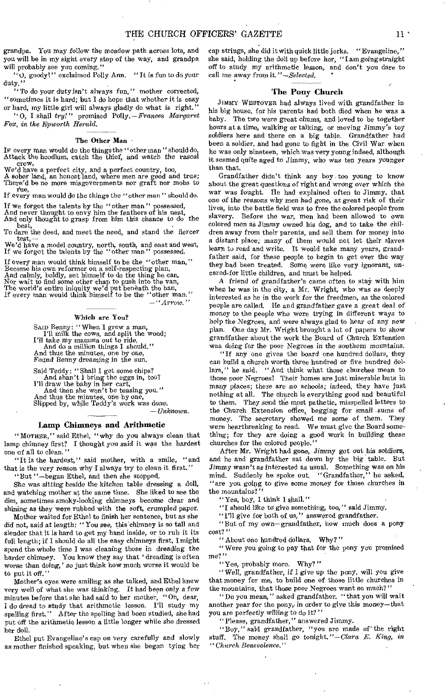grandpa. You may follow the meadow path across lots, and you will be in my sight every step of the way, and grandpa will probably see you coming."

"0, goody!" exclaimed Polly Ann. " It is fun to do your duty."

"To do your duty isn't always fun," mother corrected, "sometimes it is hard; but I do hope that whether it is easy

or hard, my little girl will always gladly do what is right." "O, I shall try!" promised Polly.—*Frances Margaret Fox, in the Epworth Herald.* 

#### The Other Man

IF every man would do the things the "other man" should do, Attack the hoodlum, catch the thief, and watch the rascal

crew, We'd have a perfect city, and a perfect country, too, A sober land, an honest land, where men are good and true; There'd be no more misgovernments nor graft nor mobs to rue,

If every man would do the things the "other man" should do.

If we forgot the talents by the "other man " possessed,

And never thought to envy him the feathers of his nest, And only thought to grasp from him this chance to do the best,

To dare the deed, and meet the need, and stand the fiercer test.-

test,— We'd have a model country, north, south, and east and west, If we forgot the talents by the "other man" possessed.

If every man would think himself to be the "other man," Become his own reformer on a self-respecting plan, And calmly, boldly, set himself to do the thing he can, Nor wait to find some other chap to push into the van, The world's entire iniquity we'd put beneath the ban,<br>If every man would think himself to be the "other man." *—"Arrow."* 

#### Which are You?

SAID Benny: " When I grow a man, I'll milk the cows, and split the wood; I'll take my mamma out to ride, And do a million things I should." And thus the minutes, one by one, Found *Benny* dreaming in the sun.

Said Teddy: "Shall I get some chips? And shan't I bring the eggs in, too? I'll draw the baby in her cart, And then she won't be teasing you." And thus the minutes, one by one Slipped by, while Teddy's work *was* done.

*—Unknown.* 

#### Lamp Chimneys and Arithmetic

"MOTHER," said Ethel, "why do you always clean that lamp chimney first? I thought you said it was the hardest one of all to clean."

"It is the hardest," said mother, with a smile, "and that is the very reason why I always try to clean it first."

"But "—began Ethel, and then she stopped.

She was sitting beside the kitchen table dressing a doll, and watching mother at the same time. She liked to see the dim, sometimes smoky-looking chimneys become clear and shining as they were rubbed with the soft, crumpled paper.

Mother waited for Ethel to finish her sentence, but as she did not, said at *length: "* You see, this chimney is so tall and slender that it is hard to get my hand inside, or to rub it its full length; if I should do all the easy chimneys first, I might spend the whole time I was cleaning those in dreading the harder chimney. You know they say that ' dreading is often worse than *doing,' so* just think how much worse it would be to put it off."

Mother's eyes were smiling as she talked, and Ethel knew very well of what she was thinking. It had been only a few minutes before that she had said to her mother, "Oh, dear, I do dread to study that arithmetic lesson. I'll study my spelling first." After the spelling had been studied, she had put off the arithmetic lesson a little longer while she dressed her doll.

Ethel put Evangeline's cap on very carefully and slowly as mother finished speaking, but when she began tying her

cap strings, she did it with quick little jerks. "Evangeline," she said, holding the doll up before her, "I am going straight off to study my arithmetic lesson, and don't you dare to call me away from it."-Selected.

#### The Pony Church

JIMMY WESTOVER had always lived with grandfather in his big house, for his parents had both died when he was a baby. The two were great chums, and loved to be together hours at a time, walking or talking, or moving Jimmy's toy soldiers here and there on a big table. Grandfather had been a soldier, and had gone to fight in the Civil War when he was only nineteen, which was very young indeed, although it seemed quite aged to Jimmy, who *was* ten years younger than that.

Grandfather didn't think any boy . too young to know about the great questions of right and wrong over which the war was fought. He had explained often to Jimmy, that one of the reasons *why men* had *gone,* at great risk of their lives, into the battle field was to free the colored people from slavery. Before the war, men had been allowed to own colored men as Jimmy owned his dog, and to take the children away from their parents, and sell them for money into a distant place; *many* of them would not let their- slaves learn to read and write. It would take many years, grandfather said, for these people to begin to get over the way they had been treated. Some were like very ignorant, *uncared-for* little children, and must be helped.

A friend of grandfather's came often to stay with him when he was in the city, a Mr. Wright, who was as deeply interested as he in the work for the freedmen, as the colored people are called. He and grandfather gave a *great* deal of money to the people who were trying in different ways to help the Negroes, and were always glad to hear of any new plan. One day Mr. Wright brought a lot of papers to show grandfather about the work the Board of Church Extension was doing for the poor Negroes *in* the southern mountains.

"If any one gives the board one hundred dollars, they can build a church worth three hundred or five hundred dollars," he said. "And think what those churches mean to those poor Negroes! Their homes are just miserable huts in many places; there are no *schools;* indeed, they have just nothing at all. The church is everything good and beautiful to them. They send th'e most pathetic, misspelled letters to the Church Extension office, begging for small .sums of money. The secretary showed me some of them. They were heartbreaking to read. We must give the Board something; for they are doing a good work in building these churches for the colored people."

After Mr. Wright had gone, Jimmy got out his soldiers, and he and grandfather sat down by the big table. But Jimmy *wasn't* as interested as usual. Something was on his mind. Suddenly he spoke out. "Grandfather," he asked, "are you going to give some money for those churches in the mountains?"

"Yes, boy, I think I shall." •

"I should like to give something, too," said Jimmy,

"I'll give for both of us," answered grandfather.

"But of my own—grandfather, how much does a pony cost? "

"About one hundred dollars. Why?"

" Were you going to pay that for the pony you promised me?"

"Yes, probably more. Why? "

" Well, grandfather, *if I give* up the pony, will you give that money for me, to build one of those little churches in the mountains, that those poor Negroes want so much?"

"Do you mean," asked grandfather, "that you will wait another year for the pony, in order to give this money-that you are perfectly *willing* to do it? "

"Please, grandfather," answered Jimmy.

"Boy," said grandfather, "you are made of the right stuff. The money shall go tonight."—Clara *E. King, in "Church Benevolence."*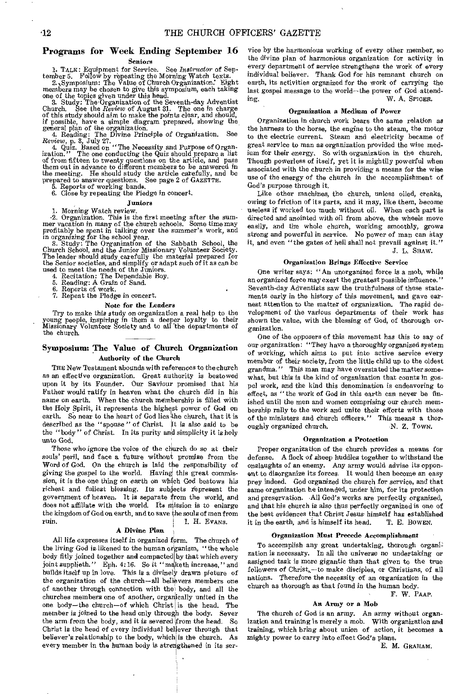#### Programs for Week Ending September 16 Seniors

1. TALK: Equipment for Service. See *Instructor* of Sep-tember 5. Follow by repeating the Morning Watch texts.

2. \ Symposium: The Value of Church Organization: Eight

members may be chosen to give this symposium, each taking<br>one of the topics given under this head.<br>B. Study: The Organization of the Seventh-day Adventist<br>Church. See the Review of August 31. The one in charge<br>of this stud

if possible, have a simple diagram prepared, showing the general plan of the organization.<br>4. Reading: The Divine Principle of Organization. See Review, p. 3, July 27.<br>4. Reading: The Divine Principle of Organization. See the meeting. He should study the article carefully, and be prepared to answer questions. See page 2 of GAZETTE. 5. Reports of working bands.

6. Close by repeating the Pledge in concert.

#### Juniors

1. Morning Watch review. -2. Organization. This is the first meeting after the sum-

mer vacation in many of the church schools. Some time may profitably be spent in taiking over the summer's work, and in organizing for the school year.<br>In organizing for the school year.<br>3. Study: The Organization of the S the Senior societies, and simplify or adapt such of it as can be

used to meet the needs of the Juniors. 4. Recitation: The Dependable Boy. 5. Reading: A Grain of Sand.

Reports of work.

7. Repeat the Pledge in concert.

#### Note for the Leaders

Try to make this study on organization a real help to the young people, inspiring in them a deeper loyalty to their Missionary Volunteer Society and to all 'the departments of the church.

#### Symposium: The Value of Church Organization Authority of the Church

THE New Testament abounds with references to the church as an effective organization. Great authority is bestowed upon it by its Founder. Our Saviour promised that his Father would ratify in heaven what the church did in his name on earth. When the church membership is filled with the Holy Spirit, it represents the highest power of God on earth. So near to the heart of God lies the church, that it is described as the "spouse " of Christ. It is also said to be the "body" of Christ. In its purity and simplicity it is holy unto God.

Those who ignore the voice of the church do so at their souls' peril, and face a future without promise from the Word of God. On the church is laid the responsibility of giving the gospel to the world. Having this great commission, it is the one thing on earth on which God bestows his richest and fullest blessing. Its subjects represent the government of heaven. It is separate from the world, and does not affiliate with the world. Its mission is to enlarge the kingdom of God on earth, and to save the souls of men from<br>ruin.  $\qquad \qquad$  I. H. Evans. I. H. Evans.

#### A Divine Plan

All life expresses itself in organized form. The church of the living God is likened to the human organism, "the whole body fitly joined together and compacted by that which every joint supplieth." Eph. 4:16. So it "maketh increase," and builds itself up in love. This is a divinely drawn picture of the organization of the church—all believers members one of another through connection with the body, and all the churches members one of another, orgahically united in the one body—the church—of which Christ is the head. The member is joined to the head only through the body. Sever the arm from the body, and it is severed from the head. So the arm from the body, and it is severed from the head. So ization and training is merely a mob. With organization and<br>Christ is the head of every individual believer through that training, which bring about union of actio believer's relationship to the body, which is the church. As mighty power to carry into effect God's plans.<br>every member in the human body is strengthened in its ser-<br>E. M. GRAHAM. every member in the human body is strengthened in its ser-

vice by the harmonious working of every other member, so the divine plan of harmonious organization for activity in every department of service strengthens the work of every individual believer. Thank God for his remnant church on earth, its activities organized for the work of carrying the last gospel message to the world—the power of God attending. W. A. SPICER.

#### Organization a Medium of Power

Organization in church work bears the same relation as the harness to the horse, the engine to the steam, the motor to the electric current. Steam and electricity became of great service to man as organization provided the wise medium for their energy, So with organization in the church. Though powerless of itself, yet it is mightily powerful when associated with the church in providing a means for the wise use of the energy of the church in the accomplishment of God's purpose through it.

Like other machines, the church, unless oiled, creaks, owing to friction of its parts, and it may, like them, become useless if worked too much without oil. When each part is directed and anointed with oil from above, the wheels move easily, and the whole church, working smoothly, grows strong and powerful in service. No power of man can stay it, and even "the gates of hell shall not prevail against it."

## J. L. SHAW.

#### Organization Brings Effective Service

One writer says: "An unorganized force is a mob, while an organized force may exert the greatest possible influence." Seventh-day Adventists saw the truthfulness of these statements early in the history of this movement, and gave earnest attention to the matter of organization. The rapid development of the various departments of their work has shown the value, with the blessing of God, of thorough organization.

One of the opposers of this movement has this to say of our organization: "They have a thoroughly organized system of working, which aims to put into active service every member of their society, from the little child up to the oldest grandma." This man may have overstated the matter somewhat, but this is the kind of organization that counts in gospel work, and the kind this denomination is endeavoring to effect, as "the work of God in this earth can never be finished until the men and women comprising our church membership rally to the work and unite their efforts with those of the ministers and church officers." This means a thor-<br>oughly organized church.  $N$ . Z. Town. oughly organized church.

#### Organization a Protection

Proper organization of the church provides a means for defense. A flock of sheep huddles together to withstand the onslaughts of an enemy. Any army would advise its opponent to disorganize its forces. It would then become an easy prey indeed. God organized the church for service, and that same organization he intended, under him, for its protection and preservation. All God's works are perfectly organized, and that his church is also thus perfectly organized is one of the best evidences that Christ Jesus- himself has established<br>it in the earth, and is himself its head. T. E. BOWEN. it in the earth, and is himself its head.

#### Organization Must Precede Accomplishment

To accomplish any great undertaking, thorough organization is necessary. In all the universe no undertaking or assigned task is more gigantic than that given to the true followers of Christ, - to make disciples, or Christians, of all nations. Therefore the necessity of an organization in the church as thorough as that found in the human body. F. W. PAAP.

#### Au Army or a Mob

The church of God is an army. An army without organtraining, which bring about union of action, it becomes a mighty power to carry into effect God's plans.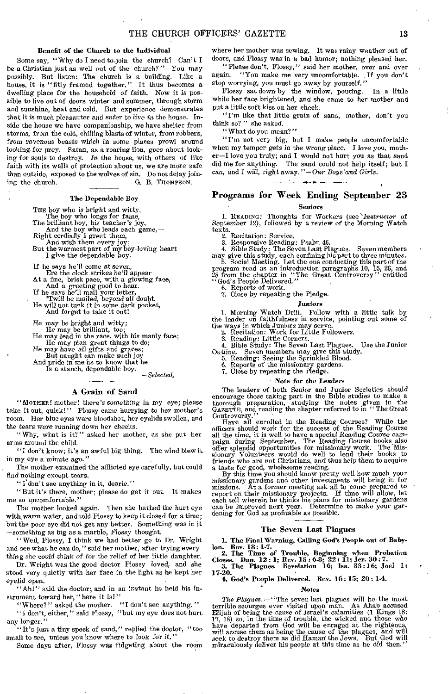#### Benefit of the Church to the Individual

Some say, " Why do I need to-join the church? Can't I be a Christian just as well out of the church?" You may possibly. But listen: The church is a building. Like a house, it is "fitly framed together." It thus becomes a dwelling place for the household of faith. Now it is possible to live out of doors winter and summer, through storm and sunshine, heat and cold. But experience demonstrates that it is much pleasanter and *safer to live in* the house. Inside the house we have companionship, we have shelter from storms, from the cold, chilling blasts of winter, from robbers, from *ravenous* beasts which in some places prowl around looking for prey. Satan, as a roaring lion, goes about looking for souls to destroy. *In* the house, with others of like faith with its walls of protection about us, we are more safe than outside, exposed to the wolves of sin. Do not delay joining the church. G. B. THOMPSON.

#### The Dependable Boy

THE boy who is bright and witty,<br>
The boy who longs for fame,<br>
The brilliant boy, his teacher's joy,<br>
And the boy who leads each game,—<br>
Right cordially I greet them,

And wish them every joy; But the warmest part of my boy-loving heart I give the dependable boy.

If he says he'll come at seven, Ere the clock strikes he'll appear

At a fine, brisk pace, with a glowing face, And a greeting good to hear.

If he says he'll mail your letter, 'Twill be mailed, beyond all doubt. He will not tuck it in some dark pocket,

And forget to take it out!

He may be bright and witty; He may be brilliant, too; He may lead in the race, with his manly face;

He may plan great things to do; He may *have* all gifts and graces;

But naught can make such joy

And pride in me as to know that he

Is a stanch, dependable boy. *—Selected.* 

#### A Grain of Sand

"MOTHER! mother! there's *something in my* eye; please take it out, quick!" Flossy came hurrying to her mother's room. Her blue eyes were bloodshot, her eyelids swollen, and the tears were *running* down her cheeks.

"Why, what is it?" asked her mother, as she put her arms around the child.

"I don't know; it's an awful big thing. The wind blew it in my eye a minute ago."

The mother examined the afflicted eye carefully, but could find nothing except tears.

"I'don't see anything in it, dearie."

"But it's there, mother; please do get it out. It makes me so uncomfortable."

The mother looked again. Then she bathed the hurt eye with, warm water, and told Flossy to keep it closed for a time; but the poor eye did not get any better. Something was in it —something as big as a marble, Flossy thought.

" Well, Flossy, I think we had better go to Dr. Wright and see what he can do," said her mother, after trying everything she could *think of* for the relief of her little daughter.

Dr. Wright was the good doctor Flossy loved, and she stood very quietly with her face in the light as he kept her *eyelid* open.

"Ah!" said the doctor; and in an instant he held his instrument toward her, " here it is!"

"Where?" asked the mother. "I don't see anything." "I don't, either," said Flossy, "but my eye does not hurt any longer.'

"It's just a tiny speck of sand," replied the doctor, "too small to see, unless you know where to look for it."

Some days after, Flossy was fidgeting about the room

where her mother was sewing. It was rainy weather out of doors, and Flossy was in a bad humor; nothing pleased her.

"Please don't, Flossy," said her mother, over and over again. "You make me very uncomfortable. If you don't "You make me very uncomfortable. If you don't stop worrying, you must go away by yourself."

Flossy sat down by the window, pouting. In a little while her face brightened, and she came to her mother and put a little soft kiss on her cheek.

"I'm like that little grain of sand, mother, don't you think so? " she asked.

"What do you mean?"

"I'm not very big, but I make people uncomfortable when my temper gets *in the wrong* place. I love you, mother—I love you truly; and I would not hurt you as that sand did me for anything. The sand could not help itself; but I ean, and I *will,* right away."—*Our Boys land Girls.* 

## Programs for Week Ending September 23

#### Seniors

1. READING: Thoughts for Workers (see *'Instructor* of September 12), followed by a review of the Morning Watch texts.<br>2. Recitation: Service.

2. Recitation: Service,<br>
3. Responsive Reading: Psalm 46.<br>
4. Bible Study: The Seven Last Plagues. Seven members<br>
may give this study, each confining his part to three minutes.<br>
5. Social Meeting. Let the one conducting th

program read as an introduction paragraphs 10, 15, 26, and 28 from the chapter in "The Great Controversy" entitled "God's People Delivered."<br>"6. Reports of work.

7. Close by repeating the Pledge.

#### Juniors

1. Morning Watch Drill. Follow with a little talk by the leader on faithfulness in service, pointing out some of the ways in which Juniors may serve.

2. Recitation: Work for Little Followers. 3. Reading: Little Corners. 4. Bible Study: The Seven Last Plagues. Use the Junior Outline. Seven members may give this study.

5. Reading: Seeing the Sprinkled Blood. 6. Reports of the missionary gardens. 7. Close by repeating the Pledge.

#### Note for the *Leaders*

The leaders of both Senior and Junior Societies should<br>encourage those taking part in the Bible studies to make a<br>thorough preparation, studying the notes given in the<br>GAZETTE, and reading the chapter referred to in "The G

Controversy."<br>
Have all enrolled in the Reading Courses? While the<br>
officers should work for the success of the Reading Course<br>
all the time, it is well to have a special Reading Course cam-<br>
paign during September. The Re offer splendid opportunities for missionary work. The Mis-sionary Volunteers would do well to lend their books to friends who are not Christians, and thus help them to acquire

a taste for good, wholesome reading. By this time you should know pretty well how much your missionary gardens and other investments will bring in for missions. At a former meeting ask all to come prepared to report on their missionary projects. If time will allow, let each tell wherein he thinks his plans for missionary gardens can be improved next year. Determine to ma dening for God as profitable as possible.

#### The Seven Last Plagues

1. The Final Warning, Calling God's People out of Baby-

lon. Rev. 18: 1-7. 2. The Time of Trouble, Beginning when Probation *Closes.* Dan. 12: 1; Rev. 15 : 6-8; 22 : 11; Jer. 30:7. 3. The Plagues. Revelation 16; ha. 33:16; Joel I:

17-20. 4. God's People Delivered. Rev. 16: 15; 20: 1-4.

#### Notes

The Plagues. - "The seven last plagues will be the most terrible scourges ever visited upon man. As Ahab accused Elijah of being the cause of Israel's calamities (1 Kings 18: 17, 18) so, in the time of trouble, the wicked and those who have departed from God will be emaged at the righteous, will accuse them as being the cause of the plagues, and will seek to destroy them as did Haman the Jews.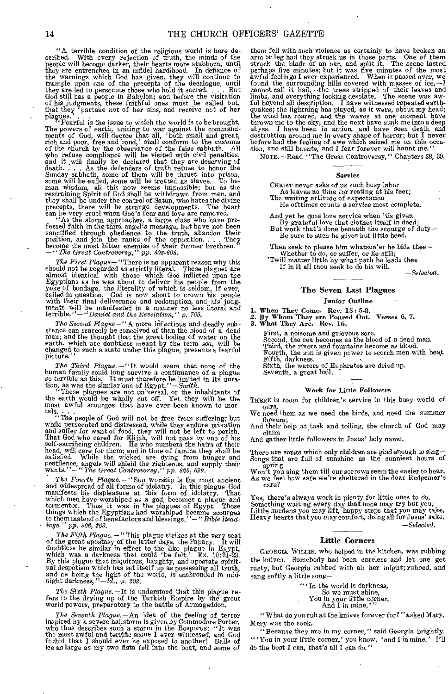"A terrible condition of the religious world is here described. With every rejection of truth, the minds of the people will become darker, their hearts more stubborn, until they are entrenched in an infidel hardihood. In defiance of the warnings which God has given, they will continue to trample upon one of the precepts of the decalogue, until they are led to persecute those who hold it sacred.... But God still has a people in Babylon; and before the that they 'partake not of her sins, and receive not of her

plagues.'<br>"Fearful is the issue to which the world is to be brought."<br>"Fearful is the uniting to war against the command."  $F^{\text{eq}}$ . Fearful is the issue to which the world is to be brought. The powers of earth, uniting to war against the commandments of God, will decree that all, 'both small and great,<br>rich and poor, free and bond,' shall conform to the customs<br>of the church by the observance of the false sabhath. All<br>who refuse compliance will be visited with ci

fessed faith in the third angel's message, but have not been sanctified through obedience to the truth, abandon their position, and join the ranks of the opposition. . . . They become the most bitter enemies of their former brethren." *—"The Great Controversy," pp. 603-608.* 

*The First Plague—* "There is no apparent reason why this should not be regarded as strictly literal. These plagues are almost identical with those which God inflicted upon the Egyptians as he was about to deliver his people from the yoke of bondage, the literality of which is se called in question. God is now about to crown his people with their final deliverance and redemption, and his judgments will be manifested in a manner no less literal and terrible."—"Daniel and the Revelation," p. 769.

*The* Second *Plague—"* Amore infectious and deadly substance can scarcely be conceived of than the blood of a dead<br>man; and the thought that the great bodies of water on the<br>earth, which are doubtless meant by the term sea, will be<br>changed to such a state under this plague, p picture.

*The Third Plague.*—"It would seem that none of the human family could long survive a continuance of a plague so terrible as this. It must therefore be limited in its dura-

tion, as was the similar one of Egypt."—Smith.<br>
"These plagues are not universal, or the inhabitants of<br>
the earth would be wholly cut off. Yet they will be the<br>
most awful scourges that have ever been known to mor-

tals. . . . "The people of God will not be free from suffering; but while persecuted and distressed, while they endure privation and suffer for want of food, they will not be *left* to perish. That God who cared for Elijah, will not pass by one of his self-sacrificing children. He who numbers the hairs of their head, will care for them; and in time of famine they shall be satisfied. While the wicked are dying from hunger and pestilence, angels will shield the righteous, and supply their wants."-"The Great Controversy," pp. 628, 6

*The Fourth Plague. —"* Sun worship is the most ancient and widespread of all forms of idolatry. In this plague God manifests his displeasure at this form of idolatry. That which men have worshiped as a god, becomes a plague and tormentor. Thus it was in the plagues of Egypt. Those things which the Egyptians had worshiped became scourges to them instead of benefactors and blessings." — *"Bible Readings," pp. 302, 303.* 

The Fifth Plague. — "This plague strikes at the very seat of the great apostasy of the latter days, the Papacy. It will doubtless he similar in effect to the like plague in Egypt, which was a darkness that could 'be felt.' Ex.  $10:\overline{21}\cdot\overline{28}$ .<br>By this plague that iniquitous, haughty, and apostate spiritual despotism which has set itself up as possessing all truth, and as being the light of the

*The Sixth Plague.* —It is understood that this plague re-fers to the drying up of the Turkish Empire *by* the great world powers, preparatory to the battle of Armageddon.

The Seventh Plague.—An idea of the feeling of terror inspired hy a severe hailstorm is given by Commodore Porter, who thus describes such a storm in the Bosporus: "It was the most awful and terrific scene I ever witnessed, forbid that I should ever he exposed to another! Balls of ice as large as my two fists fell into the boat, and some of

them fell with such violence as certainly to have broken an arm or leg had they struck us in those parts. One of them struck the blade of an oar, and split it. The scene lasted perhaps five minutes; but it was five minutes awful feelings I ever experienced. When it passed over, we found the surrounding hills covered with masses of ice,—I cannot call it hail,—the trees stripped of their leaves and limbs, and everything looking desolate. The s ful beyond all description. I have witnessed repeated earth-<br>quakes; the lightning has played, as it were, about my head;<br>the wind has roared, and the waves at one moment have<br>thrown me to the sky, and the next have sunk m before had the feeling of awe which seized me on this occa-sion, and still haunts, and I fear forever will haunt me."

NOTE. —Read "The Great Controversy," Chapters 38, 39.

#### Service

CHRIST never asks of us such busy labor As leaves no time for resting at his feet; The waiting attitude of expectation

He ofttimes counts a service most complete.

And yet he does love service when 'tis given By grateful love that clothes itself in deed; But work that's done beneath the scourge of duty— Be sure to such he gives but little heed.

Then seek to please him whatsoe'er he bids thee— Whether to do, or suffer, or lie still; 'Twill matter little by what path he leads thee

If in it all thou seek to do his will.

*—Selected.* 

#### The Seven Last Plagues

#### Junior Outline

1. When They Come. Rev. 15: 5-8.<br>2. By Whom They are Poured Out. Verses 6, 7.

3. What They Are. Rev. 16.

First, a noisome and grievous sore.

Second, the sea becomes as the blood of a dead man. Third, the rivers and fountains become as blood.

Fourth, the sun is given power to scorch men with heat. Fifth, darkness. Sixth, the waters of Euphrates are dried up.

Seventh, a great hail.

#### Work for Little Followers

THERE is room for children's service in this busy world of ours,

We need them as we need the birds, and need the summer flowers;

And their help at task and toiling, the church of God may claim

And gather little followers in Jesus' holy name.

There are songs which only children are glad enough to *sing—* Songs that are full of sunshine as the sunniest hours of

Won't you sing them till our sorrows seem the easier to bear,<br>As we feel how safe we're sheltered in the dear Redeemer's care?

Yes, there's always work in plenty for little ones to do, Something waiting every day that none may try but you; Little burdens you may lift, happy steps that you may take, Heavy hearts that you may comfort, doing all for Jesus' sake. *—Selected.* 

#### Little Corners

GEORGIA. Wmus, who helped in the kitchen, was rubbing the knives. Somebody had been careless and let one get rusty, but Georgia rubbed with all her might; rubbed, and sang softly a little song—

> "" In the world is darkness, So we must shine, You in your little corner, And I in mine.' "

" What do you ruh at the knives forever for?" asked Mary. Mary was the cook.

"Because they are in my corner," said Georgia brightly. "'You in your little corner,' you know, 'and I in mine.' I'll do the best I can, that's all I can do."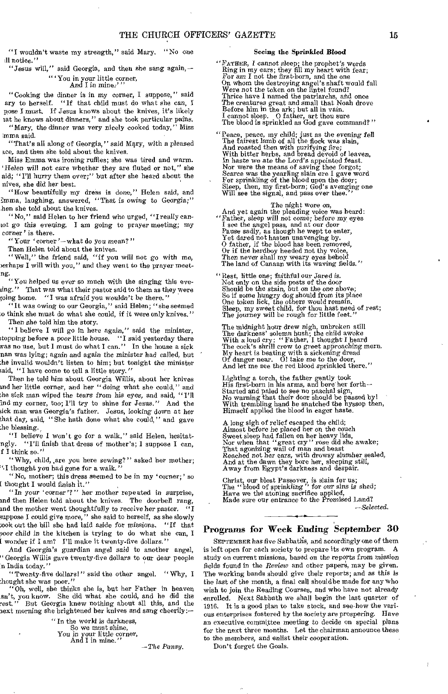"I wouldn't waste my strength," said Mary. "No one 11 notice."

"Jesus will," said Georgia, and then she sang again, — " 'You in your little corner, And I in mine:"'

"Cooking the dinner is in my corner, I suppose," said ary to herself. "If that child must do what she can, I pose I must. If Jesus knows about the knives, it's likely

tat he knows about dinners," and she took particular pains. "Mary, the dinner *was very* nicely cooked today," Miss 'llama said.

"That's all along of Georgia," said Mary, with a pleased ace, and then she told about the knives.

Miss Emma was ironing ruffles; she was tired and warm. Helen will not care whether they are fluted or not," she aid; "I'll hurry them over;" but after she heard about the nives, she did her best.

"How beautifully my dress is done," Helen said, and Imma, laughing, answered, "That is owing to Georgia;" hen she told about the knives.

"No," said Helen to her friend who urged, "I really can-Lot go this *evening.* I am going to prayer meeting; my corner' is there.

"Your 'corner what do *you mean?"* 

Then Helen told about the knives.

"Well," the friend said, "if you will not go with *me,*  )erhaps I will with you," and they went to the prayer meetng.

"You helped us *ever* so much with the singing this eve- $\lim_{n \to \infty}$ . That was what their pastor said to them as they were going home. "I was afraid you wouldn't be there."

"It was owing to our Georgia," said Helen; "she seemed ,0 think she must do what she could, if it were only knives." Then she told him the story.

"I believe I will go in here again," said the minister, ;topping before a poor little house. "I said yesterday there was no use, but I must do what I can." In the house a sick nan was lying; again and again the minister had called, but the invalid wouldn't listen to him; but tonight the minister said, "I have come to tell a little story."

Then he told him about Georgia Willis, about her knives ind her little corner, and her "doing what she could," and ;he sick man wiped the *tears from* his eyes, and said, "I'll Ind my corner, too; I'll try to shine for Jesus." And the sick man was Georgia's father. Jesus, looking down at her that day, said, "She hath done what she could," and gave he blessing.

"I believe I won't go for a walk," said Helen, hesitatngly. "I'll finish that dress of mother's; I suppose I can, f I think so."

"Why, child, ,are you here sewing? " asked her mother; thought you had gone for a walk."

"No, mother; this dress seemed to be in my 'corner;' so [ thought I would finish it."

"In *your 'corner'?"* her mother repeated in surprise, and then Helen told about the knives. The doorbell rang, and the mother went thoughtfully to *receive* her pastor. "I suppose I could give more," she said to herself, as she slowly :ook out the bill she had laid aside for missions. "If that aoor child in the kitchen is trying to do what she can, I I wonder if I am? I'll make it twenty-five dollars.'

And Georgia's *guardian* angel said to another angel, "Georgia Willis gave twenty-five dollars to our dear people n India today."

"Twenty-five dollars!" said the other angel. " Why, I thought she was poor."

"Oh, well, she thin'ks she is, but her Father in heaven sn't, you know. She did what she could, and he did the rest." But Georgia knew nothing about all this, and the  $\textrm{next morning she brightered her knives and sang checking:~$ 

| "In the world is darkness, |               |
|----------------------------|---------------|
| So we must shine,          |               |
| You in your little corner, |               |
| And I in mine."            | $-$ The Pansu |

#### Seeing the Sprinkled Blood

"Fatima, I cannot sleep; the prophet's words Ring in my ears; they fill my heart with fear; For am I *not* the first-born, and the one On whom the destroying angel's shaft would fall Were not the token on the lintel found? Thrice have I named the patriarchs, and once The creatures great and small that Noah drove Before him in the ark; but all in vain. I cannot sleep. 0 father, art thou sure The blood is sprinkled as God gave command? "

"Peace, peace, my child; just as the evening fell The fairest lamb of all the flock was slain, And roasted then with purifying fire;<br>With bitter herbs, and bread devoid of leaven,<br>In haste we ate the Lord's appointed feast.<br>Nor were the means of saving thee forgot;<br>Scarce was the yearling slain ere I gave word<br>For s Will see the signal, and pass over thee."

#### The night wore on,

And yet again the pleading voice was heard:<br>
"Father, sleep will not come; before my eyes<br>
I see the angel pass, and at our door Pause sadly, as though he wept to enter,<br>Yet dared not hasten unavenging by.<br>O father, if the blood has been removed,<br>Or if the herdboy heeded not thy voice,<br>Then never shall my weary eyes behold The land of Canaan with its waving fields."

"Rest, little one; faithful our Jared is. Not only on the side posts of the door Should be the stain, but *on* the one above; So if some hungry dog should from its place One token lick, the others would remain. Sleep, my sweet child, for thou hast need of rest; The journey will be rough for little feet."

The midnight hour drew nigh, unbroken still<br>The darkness' solemn hush; the child awoke<br>With a loud cry: "Father, I thought I heard<br>The cock's shrill crow to greet approaching morn.<br>My heart is beating with a sickening dre

Lighting a torch, the father gently took His first-born in his arms, and bore her forth— Started and paled to see no paschal sign, No warning that their door should be passed by! With trembling hand he snatched the hyssop then, Himself applied the blood in eager haste.

A long sigh of relief escaped the child; Almost before he placed her *on* the couch Sweet sleep had fallen on her heavy lids, Nor when that "great cry " rose did she awake; That agonizing wail of man and beast Reached not her ears, with drowsy slumber sealed, And at the dawn they bore her, sleeping still, Away from Egypt's darkness and despair.

Christ, our blest Passover, is slain for us; The "blood of sprinkling" for our *sins* is shed; Have we the atoning sacrifice applied, Made sure our entrance to the Promised Land?

#### *—Selected.*

#### Programs for Week Ending September 30

SEPTEMBER has five Sabbaths, and accordingly one of them is left open for each society to prepare its own program. A study on current missions, based on the reports *from* mission fields found in the *Review* and other papers, may be given. The working bands should give their reports; and as this is the last *of* the month, a final call should be made for any who wish to join the Reading Courses, and who have not already enrolled. Next Sabbath we shall begin the last quarter of 1916. It is a good plan to take stock, and see how the various enterprises fostered by the society are prospering. Have an executive, committee meeting to decide on special plans for the next three months. Let the chairman announce these to the members, and enlist their cooperation.

Don't forget the Goals.